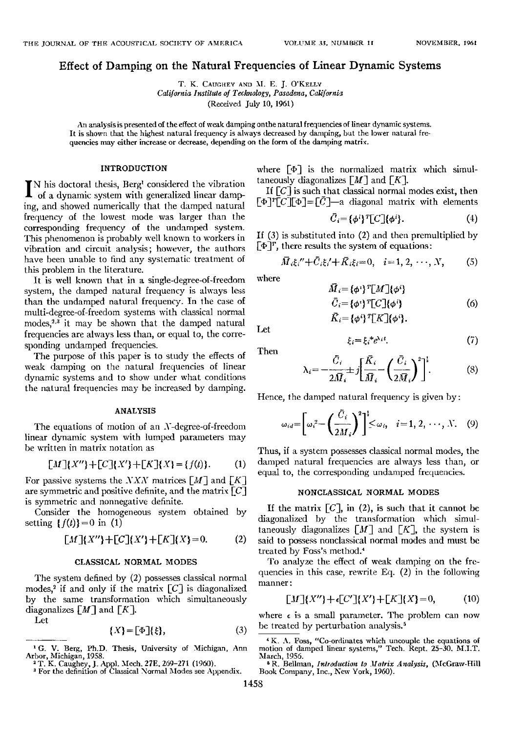T. K. CAUGHEY AND M. E. J. O'KELLY California Institute of Technology, Pasadena, California **(Received July 10, 1961)** 

**An analysis is presented oI the effect of weak damping onthe natural frequencies of linear dynamic systems. It is shown that the highest natural frequency is always decreased by damping, but the lower natural frequencies may either increase or decrease, depending on the form of the damping matrix.** 

## **INTRODUCTION**

**N** his doctoral thesis, Berg<sup>1</sup> considered the vibration of a dynamic system with generalized linear damp**ing, and showed numerically that the damped natural [requency of the lowest mode was larger than the corresponding frequency of the undamped system. This phenomenon is probably well known to workers in vibration and circnit analysis; however, the authors have been unable to find any systematic treatment of this problem in the literature.** 

**It is well known that in a single-degree-of-freedom system, the damped natural frequency is always less than the undamped natural frequency. In the case of multi-degree-of-freedom systems with classical normal modes? it may be shown that the damped natural frequencies are always less than, or equal to, the corresponding undamped frequencies.** 

**The purpose of this paper is to study the effects of weak damping on the natural frequencies of linear dynamic systems and to show under what conditions the natural frequencies may be increased by damping.** 

## **ANALYSIS**

**The equations of motion of an X-degree-of-freedom linear dynamic system with lumped parameters may be written in matrix notation as** 

$$
[M](X'') + [C](X') + [K](X) = \{f(t)\}.
$$
 (1)

For passive systems the *NXN* matrices  $[M]$  and  $[K]$ are symmetric and positive definite, and the matrix  $\lceil C \rceil$ **is symmetric and nonnegative definite.** 

**Consider the homogeneous system obtained by**  setting  $\{f(t)\}=0$  in (1)

$$
[M](X'') + [C](X') + [K](X) = 0.
$$
 (2)

#### **CLASSICAL NORMAL MODES**

**The system defined by (2) possesses classical normal modes? if and only if the matrix [C] is diagonalized by the same transformation which simultaneously**  diagonalizes  $[M]$  and  $[K]$ .

**Let** 

$$
\{X\} = \big[\Phi\big]\{\xi\},\tag{3}
$$

**t O. V. Berg, Ph.D. Thesis, University of Michigan, Ann** 

where  $[\Phi]$  is the normalized matrix which simul**taneously diagonalizes**  $\lceil M \rceil$  **and**  $\lceil K \rceil$ **.** 

**If [C] is such that classical normal modes exist, then**   $\lceil \Phi \rceil^r \lceil C \rceil \lceil \Phi \rceil = \lceil \bar{C} \rceil$ —a diagonal matrix with elements

$$
\bar{C}_i = \{\phi^i\}^T \llbracket C \rrbracket \{\phi^i\}. \tag{4}
$$

**If (3) is substituted into (2) and then premultiplied by**   $\lbrack \Phi \rbrack^T$ , there results the system of equations:

$$
\bar{M}_i \xi_i'' + \bar{C}_i \xi_i' + \bar{K}_i \xi_i = 0, \quad i = 1, 2, \cdots, N, \quad (5)
$$

**where** 

$$
\begin{aligned}\n\bar{M}_i &= \{\phi^i\}^T [M'] \{\phi^i\} \\
\bar{C}_i &= \{\phi^i\}^T [C'] \{\phi^i\} \\
\bar{K}_i &= \{\phi^i\}^T [K'] \{\phi^i\}.\n\end{aligned}\n\tag{6}
$$

**Let** 

$$
\xi_i = \xi_i^* e^{\lambda_i t}.\tag{7}
$$

**Then** 

$$
\lambda_i = -\frac{\bar{C}_i}{2\bar{M}_i} \pm j \left[ \frac{\bar{K}_i}{\bar{M}_i} - \left( \frac{\bar{C}_i}{2\bar{M}_i} \right)^2 \right]^{\frac{1}{2}}.
$$
 (8)

**Hence, the damped natural frequency is given by:** 

$$
\omega_{id} = \left[\omega_i^2 - \left(\frac{\bar{C}_i}{2M_i}\right)^2\right]^{\frac{1}{2}} \leq \omega_i, \quad i = 1, 2, \cdots, N. \quad (9)
$$

**Thus, if a system possesses classical normal modes, the damped natural frequencies are always less than, or equal to, the corresponding undamped frequencies.** 

## **NONCLASSICAL NORMAL MODES**

If the matrix  $[C]$ , in (2), is such that it cannot be **diagonalized by the transformation which simul**taneously diagonalizes  $[M]$  and  $[K]$ , the system is **said to possess nonclassical normal modes and must be**  treated by Foss's method.<sup>4</sup>

**To analyze the effect of weak damping on the frequencies in this case, rewrite Eq. (2) in the following manner:** 

$$
\llbracket M \rrbracket \{ X'' \} + \epsilon \llbracket C' \rrbracket \{ X' \} + \llbracket K \rrbracket \{ X \} = 0,\tag{10}
$$

where  $\epsilon$  is a small parameter. The problem can now **be treated by perturbation analysis?** 

<sup>4</sup> K. A. Foss, "Co-ordinates which uncouple the equations of damped linear systems," Tech. Rept. 25-30. M.I.T. **March, 1956.** 

<sup>6</sup> R. Bellman, *Introduction to Matrix Analysis*, (McGraw-Hill **Book Company, Inc., New York, 1960).** 

**Arbor, Michigan, 1958. 2 T. K. Caughey, J. Appl. Mech. 27E. 269-271 (1960).** 

**a For the definition of Classical Normal Modes see Appendix.**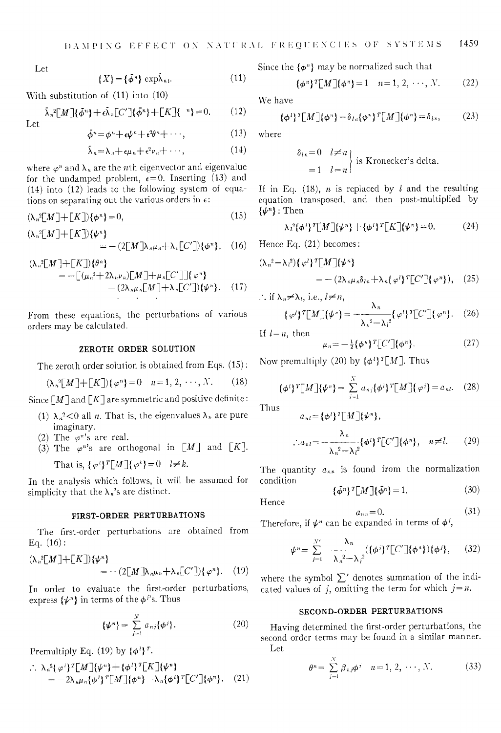**Let** 

$$
\{X\} = \{\bar{\phi}^n\} \exp \bar{\lambda}_{n\iota}.
$$
 (11)

**With substitution of (11) into (10)** 

$$
\bar{\lambda}_n^2 \llbracket M \rrbracket \{ \bar{\phi}^n \} + \epsilon \bar{\lambda}_n \llbracket C' \rrbracket \{ \bar{\phi}^n \} + \llbracket K \rrbracket \{ n \} = 0. \tag{12}
$$

 $Let$ 

$$
\phi^n = \phi^n + \epsilon \psi^n + \epsilon^2 \theta^n + \cdots, \qquad (13)
$$

$$
\bar{\lambda}_n = \lambda_n + \epsilon \mu_n + \epsilon^2 \nu_n + \cdots, \qquad (14)
$$

where  $\varphi^n$  and  $\lambda_n$  are the *n*th eigenvector and eigenvalue for the undamped problem,  $\epsilon = 0$ . Inserting (13) and **(14) into (12) leads to the following system of equa**tions on separating out the various orders in  $\epsilon$ :

$$
(\lambda_n^2 \llbracket M \rrbracket + \llbracket K \rrbracket) \{ \phi^n \} = 0,\tag{15}
$$

$$
(\lambda_n^2[M]+[K])\{\psi^n\} = -(2[M]\lambda_n\mu_n + \lambda_n[C'])\{\phi^n\}, \quad (16)
$$

$$
(\lambda_n^2[M]+[K])\{\theta^n\}\n= -[(\mu_n^2+2\lambda_n\nu_n)[M]+ \mu_n[C']](\varphi^n)\n- (2\lambda_n\mu_n[M]+\lambda_n[C'])\{\psi^n\}. \quad (17)
$$

**From these equations, the perturbations of various orders may be calculated.** 

### **ZEROTH ORDER SOLUTION**

**The zeroth order solution is obtained from Eqs. (15):** 

$$
(\lambda_n^2[M]+[K])\{\varphi^n\}=0 \quad n=1,2,\cdots,N. \tag{18}
$$

Since  $\lceil M \rceil$  and  $\lceil K \rceil$  are symmetric and positive definite:

- (1)  $\lambda_n^2$ <0 all *n*. That is, the eigenvalues  $\lambda_n$  are pure **imaginary.**
- (2) The  $\varphi$ <sup>n</sup>'s are real.
- (3) The  $\varphi^{n}$ 's are orthogonal in [M] and [K]. That is,  $\{\varphi^i\}^T[M](\varphi^k)=0 \quad l \neq k$ .

**In the analysis which follows, it will be assumed for**  simplicity that the  $\lambda_n$ 's are distinct.

### **FIRST-ORDER PERTURBATIONS**

**The first-order perturbations are obtained from Eq. (16):** 

$$
(\lambda_n^2[M]+[K])\{\psi^n\} = - (2[M]\lambda_n\mu_n + \lambda_n[C'])\{\varphi^n\}. \quad (19)
$$

**In order to evaluate the first-order perturbations,**  express  $\{\psi^n\}$  in terms of the  $\phi^p$ s. Thus

$$
\{\psi^n\} = \sum_{j=1}^N a_{nj} \{\phi^j\}.
$$
 (20)

**Premultiply Eq. (19) by**  $\{\phi^i\}^T$ **.** 

$$
\therefore \lambda_n^2 {\varphi'}^T M {\varphi^n} + {\varphi'}^T K {\varphi^n}
$$
  
=  $-2\lambda_n \mu_n {\varphi'}^T M {\varphi^n} - \lambda_n {\varphi'}^T C' {\varphi^n}.$  (21)

Since the  $\{\phi^n\}$  may be normalized such that

$$
\{\phi^n\}^T[M](\phi^n) = 1 \quad n = 1, 2, \cdots, N. \tag{22}
$$

We have

$$
\{\phi^l\}^T[M]\{\phi^n\} = \delta_{ln}\{\phi^n\}^T[M]\{\phi^n\} = \delta_{ln},\tag{23}
$$

**where** 

$$
\begin{cases}\n\delta_{ln} = 0 & l \neq n \\
= 1 & l = n\n\end{cases}
$$
 is Kronecker's delta.

If in Eq.  $(18)$ , *n* is replaced by *l* and the resulting **equation transposed, and then post-multiplied by {½•}: Then** 

$$
\lambda_i^2 \{\phi^i\}^T [M] {\{\psi^n\} + {\{\phi^i\}^T [K]} {\{\psi^n\} = 0. \tag{24}}
$$

**Hence Eq. (21) becomes:** 

$$
(\lambda_n^2 - \lambda_l^2) \{\varphi^l\}^T \llbracket M \rrbracket \{\psi^n\} \\
= - (2\lambda_n \mu_n \delta_{ln} + \lambda_n \{\varphi^l\}^T \llbracket C' \rrbracket \{\varphi^n\}), \quad (25)
$$

 $\therefore$  if  $\lambda_n \neq \lambda_l$ , i.e.,  $l \neq n$ ,

$$
\{\varphi^i\}^T[M]\{\psi^n\} = -\frac{\lambda_n}{\lambda_n^2 - \lambda_i^2} \{\varphi^i\}^T[C']\{\varphi^n\}. \quad (26)
$$

If  $l = n$ , then

$$
\mu_n = -\frac{1}{2} \{ \phi^n \}^T \left[ C' \right] \{ \phi^n \}.
$$
 (27)

Now premultiply (20) by  $\{\phi^l\}^T[M]$ . Thus

$$
\{\phi^i\}^T[M]\{\psi^n\} = \sum_{j=1}^N a_{nj}\{\phi^i\}^T[M]\{\varphi^j\} = a_{nl}. \quad (28)
$$

**Thus** 

$$
a_{nl} = {\phi^l}^T \lfloor M \rfloor {\psi^n} ,
$$
  

$$
\therefore a_{nl} = -\frac{\lambda_n}{\lambda_n^2 - \lambda_l^2} {\phi^l}^T \lfloor C' \rfloor {\phi^n} , \quad n \neq l. \tag{29}
$$

The quantity  $a_{nn}$  is found from the normalization **condition**   $\overline{1}$ 

 $a_{nn} = 0.$ 

$$
\{\phi^n\}^T \lfloor M \rfloor \{\phi^n\} = 1. \tag{30}
$$

**Hence** 

$$
(31)
$$

Therefore, if  $\psi^n$  can be expanded in terms of  $\phi^j$ ,

$$
\psi^n = \sum_{j=1}^{N'} \frac{\lambda_n}{\lambda_n^2 - \lambda_j^2} (\{\phi^j\}^T [C'] \{\phi^n\}) \{\phi^j\}, \qquad (32)
$$

where the symbol  $\Sigma'$  denotes summation of the indicated values of j, omitting the term for which  $j = n$ .

### **SECOND-ORDER PERTURBATIONS**

**Having determined the first-order perturbations, the second order terms may be found in a similar manner. Let** 

$$
\theta^n = \sum_{j=1}^N \beta_{nj} \phi^j \quad n = 1, 2, \cdots, N. \tag{33}
$$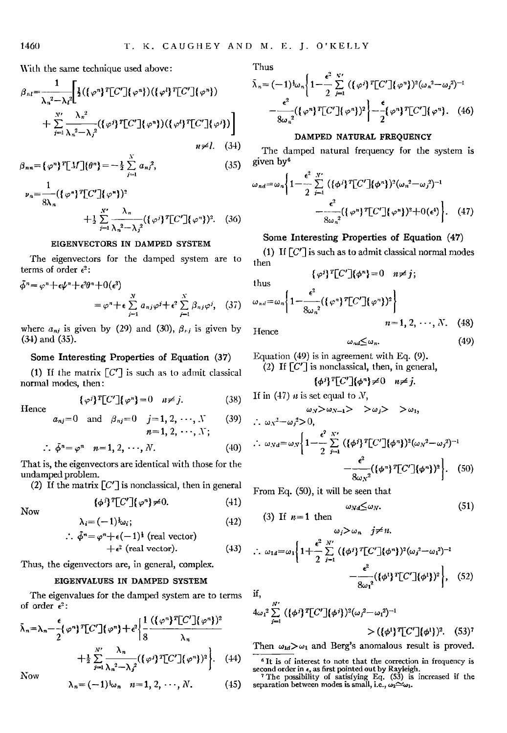**With the same technique used above:** 

$$
\beta_{nl} = \frac{1}{\lambda_n^2 - \lambda_l^2} \Biggl[ \frac{1}{2} (\{\varphi^n\}^T [C'] \{\varphi^n\}) (\{\varphi^n\}^T [C'] \{\varphi^n\}) + \sum_{j=1}^N \frac{\lambda_n^2}{\lambda_n^2 - \lambda_j^2} (\{\varphi^j\}^T [C'] \{\varphi^n\}) (\{\varphi^l\}^T [C'] \{\varphi^j\}) \Biggr]
$$
  
 $n \neq l. \quad (34)$ 

$$
\beta_{nn} = {\varphi^n}^T[M]{\varphi^n} = -\frac{1}{2}\sum_{j=1}^N a_{nj}^2,
$$
\n(35)

$$
\nu_n = \frac{1}{8\lambda_n} (\{\varphi^n\}^T [C'] \{\varphi^n\})^2
$$
  
 
$$
+ \frac{1}{2} \sum_{j=1}^N \frac{\lambda_n}{\lambda_n^2 - \lambda_j^2} (\{\varphi^j\}^T [C'] \{\varphi^n\})^2. \quad (36)
$$

# **EIGENVECTORS IN DAMPED SYSTEM**

**The eigenvectors for the damped system are to terms** of order  $\epsilon^2$ :

$$
\tilde{\phi}^n = \varphi^n + \epsilon \psi^n + \epsilon^2 \theta^n + 0(\epsilon^3)
$$
  
=  $\varphi^n + \epsilon \sum_{j=1}^N a_{nj} \varphi^j + \epsilon^2 \sum_{j=1}^N \beta_{nj} \varphi^j$ , (37)

where  $a_{ni}$  is given by (29) and (30),  $\beta_{ni}$  is given by **(34) ana (35).** 

## **Some Interesting Properties of Equation (37)**

(1) If the matrix  $[C']$  is such as to admit classical normal modes, then:

$$
\{\varphi^j\}^T[C']\{\varphi^n\}=0 \quad n\neq j. \tag{38}
$$

**Hence** 

$$
a_{nj}=0
$$
 and  $\beta_{nj}=0$   $j=1, 2, \cdots, N$  (39)  
 $n=1, 2, \cdots, N;$ 

$$
\therefore \ \bar{\phi}^n = \varphi^n \quad n = 1, 2, \cdots, N. \tag{40}
$$

**That is, the eigenvectors are identical with those for the undamped problem.** 

(2) If the matrix  $[C']$  is nonclassical, then in general

$$
\{\phi^i\}^T[C']\{\varphi^n\}\neq 0.\tag{41}
$$

**Now** 

$$
\lambda_i = (-1)^{\frac{1}{2}} \omega_i; \tag{42}
$$

$$
\therefore \phi^n = \varphi^n + \epsilon(-1)^{\frac{1}{2}} \text{ (real vector)}+ \epsilon^2 \text{ (real vector)}. \tag{43}
$$

**Thus, the eigenvectors are, in general, complex.** 

# **EIGENVALUES IN DAMPED SYSTEM**

**The eigenvalues for the damped system are to terms**  of order  $\epsilon^2$ :

$$
\bar{\lambda}_n = \lambda_n - \frac{\epsilon}{2} {\varphi}^n T[C'] {\varphi}^n + \epsilon^2 \left\{ \frac{1}{8} \frac{(\{\varphi^n\}^T[C'] {\varphi}^n)^2}{\lambda_n} + \frac{1}{2} \sum_{j=1}^{N'} \frac{\lambda_n}{\lambda_n^2 - \lambda_j^2} (\{\varphi^j\}^T[C'] {\varphi}^n)^2 \right\}.
$$
 (44)

**Now** 

$$
\lambda_n = (-1)^i \omega_n \quad n = 1, 2, \cdots, N. \tag{45}
$$

**Thus** 

$$
\bar{\lambda}_n = (-1)^{\frac{1}{2}} \omega_n \left\{ 1 - \frac{\epsilon^2}{2} \sum_{j=1}^{N'} \left( \left\{ \varphi^j \right\}^T \left[ C' \right] \left\{ \varphi^n \right\} \right)^2 (\omega_n^2 - \omega_j^2)^{-1} - \frac{\epsilon^2}{8 \omega_n^2} \left( \left\{ \varphi^n \right\}^T \left[ C' \right] \left\{ \varphi^n \right\} \right)^2 \right\} - \frac{\epsilon}{2} \left( \varphi^n \right)^T \left[ C' \right] \left\{ \varphi^n \right\}. \tag{46}
$$

# **DAMPED NATURAL FREQUENCY**

**The damped natural frequency for the system is given by •** 

$$
\omega_{nd} = \omega_n \left\{ 1 - \frac{\epsilon^2}{2} \sum_{j=1}^{N'} \left( \{\phi^j\}^T [C'] \{\phi^n\} \right)^2 (\omega_n^2 - \omega_j^2)^{-1} - \frac{\epsilon^2}{8 \omega_n^2} \left( \{\phi^n\}^T [C'] \{\phi^n\} \right)^2 + O(\epsilon^4) \right\}.
$$
 (47)

# Some Interesting Properties of Equation (47)

**(1) If [C'] is such as to admit classical normal modes then**   $\{\varphi^i\}^T[C']\{\phi^n\}=0 \quad n\neq j;$ 

**thus** 

Thus  
\n
$$
\omega_{nd} = \omega_n \left\{ 1 - \frac{\epsilon^2}{8\omega_n^2} (\{\varphi^n\}^T [C'] \{\varphi^n\})^2 \right\}
$$
\n
$$
n = 1, 2, \cdots, N.
$$

**Hence** 

$$
n=1,2,\cdots,N.\quad \text{(48)}
$$

$$
\omega_{nd} \leq \omega_n. \tag{49}
$$

**Equation (49) is in agreement with Eq. (9). (2) If [C'] is nonclassical, then, in general,** 

$$
\{\phi^j\}^T[C']\{\phi^n\}\neq 0 \quad n\neq j.
$$

**If in (47)**  $\boldsymbol{n}$  is set equal to  $N$ ,

$$
\omega_{N} > \omega_{N-1} > \omega_{j} > \omega_{1},
$$

$$
\therefore \omega_{Nd} = \omega_N \left\{ 1 - \frac{\epsilon^2}{2} \sum_{j=1}^{N'} \left( {\{\phi^j\}^T [C'] \{\phi^n\} \}^2 (\omega_N^2 - \omega_j^2)^{-1} - \frac{\epsilon^2}{8 \omega_N^2} \left( {\{\phi^n\}^T [C'] \{\phi^n\} \}^2 \right) \right\}.
$$
 (50)

**From Eq. (50), it will be seen that** 

$$
\omega_{Nd} \leq \omega_N. \tag{51}
$$

$$
\omega_j > \omega_n \quad j \neq n.
$$

$$
\therefore \omega_{1d} = \omega_1 \left\{ 1 + \frac{\epsilon^2}{2} \sum_{j=1}^{N'} \left( \{\phi^j\}^T [C'] \{\phi^n\} \right)^2 (\omega_j^2 - \omega_1^2)^{-1} - \frac{\epsilon^2}{8\omega_1^2} (\{\phi^1\}^T [C'] \{\phi^1\})^2 \right\}, \quad (52)
$$
if,

$$
4\omega_1^2 \sum_{j=1}^{N'} ((\phi^j)^T [C'](\phi^j))^2 (\omega_j^2 - \omega_1^2)^{-1}
$$
  
> 
$$
((\phi^1)^T [C'](\phi^1))^2. (53)^7
$$

Then  $\omega_{1d} > \omega_1$  and Berg's anomalous result is proved.

<sup>6</sup> It is of interest to note that the correction in frequency is<br>second order in  $\epsilon$ , as first pointed out by Rayleigh.<br><sup>7</sup> The possibility of satisfying Eq. (53) is increased if the<br>separation between modes is small, i